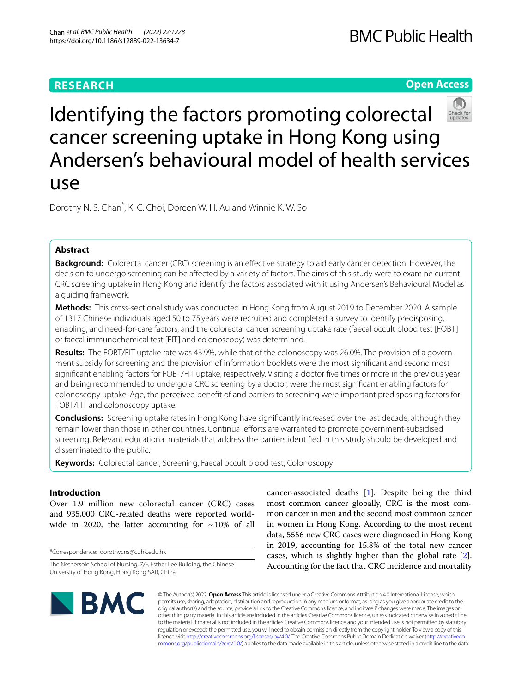# **RESEARCH**

**Open Access**



# Identifying the factors promoting colorectal cancer screening uptake in Hong Kong using Andersen's behavioural model of health services use

Dorothy N. S. Chan<sup>\*</sup>, K. C. Choi, Doreen W. H. Au and Winnie K. W. So

# **Abstract**

**Background:** Colorectal cancer (CRC) screening is an efective strategy to aid early cancer detection. However, the decision to undergo screening can be afected by a variety of factors. The aims of this study were to examine current CRC screening uptake in Hong Kong and identify the factors associated with it using Andersen's Behavioural Model as a guiding framework.

**Methods:** This cross-sectional study was conducted in Hong Kong from August 2019 to December 2020. A sample of 1317 Chinese individuals aged 50 to 75 years were recruited and completed a survey to identify predisposing, enabling, and need-for-care factors, and the colorectal cancer screening uptake rate (faecal occult blood test [FOBT] or faecal immunochemical test [FIT] and colonoscopy) was determined.

**Results:** The FOBT/FIT uptake rate was 43.9%, while that of the colonoscopy was 26.0%. The provision of a government subsidy for screening and the provision of information booklets were the most signifcant and second most signifcant enabling factors for FOBT/FIT uptake, respectively. Visiting a doctor fve times or more in the previous year and being recommended to undergo a CRC screening by a doctor, were the most signifcant enabling factors for colonoscopy uptake. Age, the perceived beneft of and barriers to screening were important predisposing factors for FOBT/FIT and colonoscopy uptake.

**Conclusions:** Screening uptake rates in Hong Kong have signifcantly increased over the last decade, although they remain lower than those in other countries. Continual efforts are warranted to promote government-subsidised screening. Relevant educational materials that address the barriers identifed in this study should be developed and disseminated to the public.

**Keywords:** Colorectal cancer, Screening, Faecal occult blood test, Colonoscopy

# **Introduction**

Over 1.9 million new colorectal cancer (CRC) cases and 935,000 CRC-related deaths were reported worldwide in 2020, the latter accounting for  $\sim$  10% of all

\*Correspondence: dorothycns@cuhk.edu.hk

cancer-associated deaths [\[1](#page-14-0)]. Despite being the third most common cancer globally, CRC is the most common cancer in men and the second most common cancer in women in Hong Kong. According to the most recent data, 5556 new CRC cases were diagnosed in Hong Kong in 2019, accounting for 15.8% of the total new cancer cases, which is slightly higher than the global rate [\[2](#page-14-1)]. Accounting for the fact that CRC incidence and mortality



© The Author(s) 2022. **Open Access** This article is licensed under a Creative Commons Attribution 4.0 International License, which permits use, sharing, adaptation, distribution and reproduction in any medium or format, as long as you give appropriate credit to the original author(s) and the source, provide a link to the Creative Commons licence, and indicate if changes were made. The images or other third party material in this article are included in the article's Creative Commons licence, unless indicated otherwise in a credit line to the material. If material is not included in the article's Creative Commons licence and your intended use is not permitted by statutory regulation or exceeds the permitted use, you will need to obtain permission directly from the copyright holder. To view a copy of this licence, visit [http://creativecommons.org/licenses/by/4.0/.](http://creativecommons.org/licenses/by/4.0/) The Creative Commons Public Domain Dedication waiver ([http://creativeco](http://creativecommons.org/publicdomain/zero/1.0/) [mmons.org/publicdomain/zero/1.0/](http://creativecommons.org/publicdomain/zero/1.0/)) applies to the data made available in this article, unless otherwise stated in a credit line to the data.

The Nethersole School of Nursing, 7/F, Esther Lee Building, the Chinese University of Hong Kong, Hong Kong SAR, China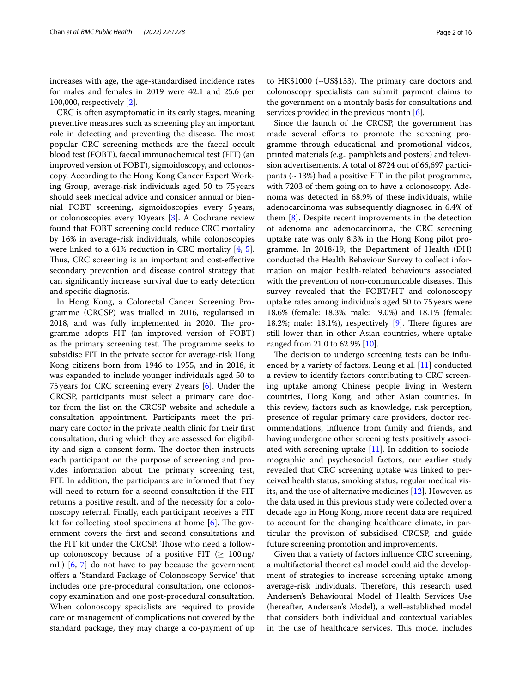increases with age, the age-standardised incidence rates for males and females in 2019 were 42.1 and 25.6 per 100,000, respectively [[2\]](#page-14-1).

CRC is often asymptomatic in its early stages, meaning preventive measures such as screening play an important role in detecting and preventing the disease. The most popular CRC screening methods are the faecal occult blood test (FOBT), faecal immunochemical test (FIT) (an improved version of FOBT), sigmoidoscopy, and colonoscopy. According to the Hong Kong Cancer Expert Working Group, average-risk individuals aged 50 to 75 years should seek medical advice and consider annual or biennial FOBT screening, sigmoidoscopies every 5years, or colonoscopies every 10years [\[3](#page-14-2)]. A Cochrane review found that FOBT screening could reduce CRC mortality by 16% in average-risk individuals, while colonoscopies were linked to a 61% reduction in CRC mortality [[4,](#page-14-3) [5](#page-14-4)]. Thus, CRC screening is an important and cost-effective secondary prevention and disease control strategy that can signifcantly increase survival due to early detection and specifc diagnosis.

In Hong Kong, a Colorectal Cancer Screening Programme (CRCSP) was trialled in 2016, regularised in 2018, and was fully implemented in 2020. The programme adopts FIT (an improved version of FOBT) as the primary screening test. The programme seeks to subsidise FIT in the private sector for average-risk Hong Kong citizens born from 1946 to 1955, and in 2018, it was expanded to include younger individuals aged 50 to 75years for CRC screening every 2years [[6\]](#page-14-5). Under the CRCSP, participants must select a primary care doctor from the list on the CRCSP website and schedule a consultation appointment. Participants meet the primary care doctor in the private health clinic for their frst consultation, during which they are assessed for eligibility and sign a consent form. The doctor then instructs each participant on the purpose of screening and provides information about the primary screening test, FIT. In addition, the participants are informed that they will need to return for a second consultation if the FIT returns a positive result, and of the necessity for a colonoscopy referral. Finally, each participant receives a FIT kit for collecting stool specimens at home  $[6]$  $[6]$ . The government covers the frst and second consultations and the FIT kit under the CRCSP. Those who need a followup colonoscopy because of a positive FIT ( $\geq 100$ ng/ mL) [[6,](#page-14-5) [7\]](#page-14-6) do not have to pay because the government ofers a 'Standard Package of Colonoscopy Service' that includes one pre-procedural consultation, one colonoscopy examination and one post-procedural consultation. When colonoscopy specialists are required to provide care or management of complications not covered by the standard package, they may charge a co-payment of up

to HK\$1000 ( $\sim$ US\$133). The primary care doctors and colonoscopy specialists can submit payment claims to the government on a monthly basis for consultations and services provided in the previous month [\[6](#page-14-5)].

Since the launch of the CRCSP, the government has made several efforts to promote the screening programme through educational and promotional videos, printed materials (e.g., pamphlets and posters) and television advertisements. A total of 8724 out of 66,697 participants  $($   $\sim$  13%) had a positive FIT in the pilot programme, with 7203 of them going on to have a colonoscopy. Adenoma was detected in 68.9% of these individuals, while adenocarcinoma was subsequently diagnosed in 6.4% of them [[8](#page-14-7)]. Despite recent improvements in the detection of adenoma and adenocarcinoma, the CRC screening uptake rate was only 8.3% in the Hong Kong pilot programme. In 2018/19, the Department of Health (DH) conducted the Health Behaviour Survey to collect information on major health-related behaviours associated with the prevention of non-communicable diseases. This survey revealed that the FOBT/FIT and colonoscopy uptake rates among individuals aged 50 to 75years were 18.6% (female: 18.3%; male: 19.0%) and 18.1% (female: 18.2%; male: 18.1%), respectively  $[9]$  $[9]$ . There figures are still lower than in other Asian countries, where uptake ranged from 21.0 to 62.9% [[10\]](#page-14-9).

The decision to undergo screening tests can be influenced by a variety of factors. Leung et al. [[11\]](#page-14-10) conducted a review to identify factors contributing to CRC screening uptake among Chinese people living in Western countries, Hong Kong, and other Asian countries. In this review, factors such as knowledge, risk perception, presence of regular primary care providers, doctor recommendations, infuence from family and friends, and having undergone other screening tests positively associated with screening uptake [[11\]](#page-14-10). In addition to sociodemographic and psychosocial factors, our earlier study revealed that CRC screening uptake was linked to perceived health status, smoking status, regular medical visits, and the use of alternative medicines [[12\]](#page-14-11). However, as the data used in this previous study were collected over a decade ago in Hong Kong, more recent data are required to account for the changing healthcare climate, in particular the provision of subsidised CRCSP, and guide future screening promotion and improvements.

Given that a variety of factors infuence CRC screening, a multifactorial theoretical model could aid the development of strategies to increase screening uptake among average-risk individuals. Therefore, this research used Andersen's Behavioural Model of Health Services Use (hereafter, Andersen's Model), a well-established model that considers both individual and contextual variables in the use of healthcare services. This model includes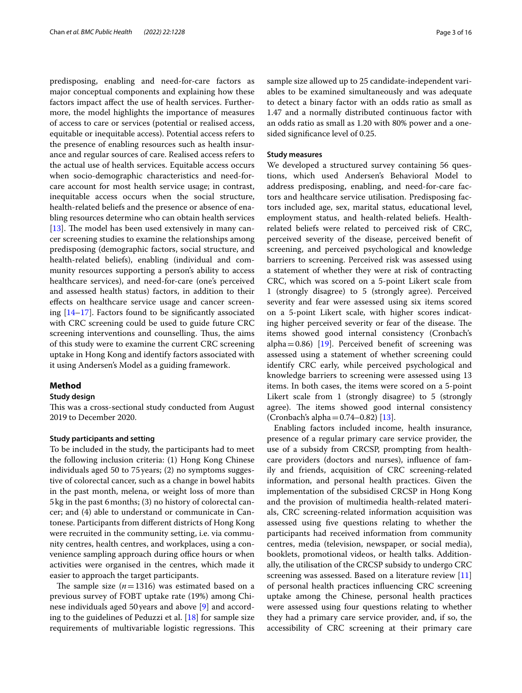predisposing, enabling and need-for-care factors as major conceptual components and explaining how these factors impact afect the use of health services. Furthermore, the model highlights the importance of measures of access to care or services (potential or realised access, equitable or inequitable access). Potential access refers to the presence of enabling resources such as health insurance and regular sources of care. Realised access refers to the actual use of health services. Equitable access occurs when socio-demographic characteristics and need-forcare account for most health service usage; in contrast, inequitable access occurs when the social structure, health-related beliefs and the presence or absence of enabling resources determine who can obtain health services [[13\]](#page-14-12). The model has been used extensively in many cancer screening studies to examine the relationships among predisposing (demographic factors, social structure, and health-related beliefs), enabling (individual and community resources supporting a person's ability to access healthcare services), and need-for-care (one's perceived and assessed health status) factors, in addition to their efects on healthcare service usage and cancer screening  $[14-17]$  $[14-17]$ . Factors found to be significantly associated with CRC screening could be used to guide future CRC screening interventions and counselling. Thus, the aims of this study were to examine the current CRC screening uptake in Hong Kong and identify factors associated with it using Andersen's Model as a guiding framework.

# **Method**

# **Study design**

This was a cross-sectional study conducted from August 2019 to December 2020.

# **Study participants and setting**

To be included in the study, the participants had to meet the following inclusion criteria: (1) Hong Kong Chinese individuals aged 50 to 75years; (2) no symptoms suggestive of colorectal cancer, such as a change in bowel habits in the past month, melena, or weight loss of more than 5kg in the past 6months; (3) no history of colorectal cancer; and (4) able to understand or communicate in Cantonese. Participants from diferent districts of Hong Kong were recruited in the community setting, i.e. via community centres, health centres, and workplaces, using a convenience sampling approach during office hours or when activities were organised in the centres, which made it easier to approach the target participants.

The sample size  $(n=1316)$  was estimated based on a previous survey of FOBT uptake rate (19%) among Chinese individuals aged 50years and above [[9](#page-14-8)] and according to the guidelines of Peduzzi et al.  $[18]$  $[18]$  for sample size requirements of multivariable logistic regressions. This sample size allowed up to 25 candidate-independent variables to be examined simultaneously and was adequate to detect a binary factor with an odds ratio as small as 1.47 and a normally distributed continuous factor with an odds ratio as small as 1.20 with 80% power and a onesided signifcance level of 0.25.

# **Study measures**

We developed a structured survey containing 56 questions, which used Andersen's Behavioral Model to address predisposing, enabling, and need-for-care factors and healthcare service utilisation. Predisposing factors included age, sex, marital status, educational level, employment status, and health-related beliefs. Healthrelated beliefs were related to perceived risk of CRC, perceived severity of the disease, perceived beneft of screening, and perceived psychological and knowledge barriers to screening. Perceived risk was assessed using a statement of whether they were at risk of contracting CRC, which was scored on a 5-point Likert scale from 1 (strongly disagree) to 5 (strongly agree). Perceived severity and fear were assessed using six items scored on a 5-point Likert scale, with higher scores indicating higher perceived severity or fear of the disease. The items showed good internal consistency (Cronbach's alpha=0.86) [[19\]](#page-14-16). Perceived benefit of screening was assessed using a statement of whether screening could identify CRC early, while perceived psychological and knowledge barriers to screening were assessed using 13 items. In both cases, the items were scored on a 5-point Likert scale from 1 (strongly disagree) to 5 (strongly agree). The items showed good internal consistency (Cronbach's alpha $= 0.74 - 0.82$ ) [\[13](#page-14-12)].

Enabling factors included income, health insurance, presence of a regular primary care service provider, the use of a subsidy from CRCSP, prompting from healthcare providers (doctors and nurses), infuence of family and friends, acquisition of CRC screening-related information, and personal health practices. Given the implementation of the subsidised CRCSP in Hong Kong and the provision of multimedia health-related materials, CRC screening-related information acquisition was assessed using fve questions relating to whether the participants had received information from community centres, media (television, newspaper, or social media), booklets, promotional videos, or health talks. Additionally, the utilisation of the CRCSP subsidy to undergo CRC screening was assessed. Based on a literature review [[11](#page-14-10)] of personal health practices infuencing CRC screening uptake among the Chinese, personal health practices were assessed using four questions relating to whether they had a primary care service provider, and, if so, the accessibility of CRC screening at their primary care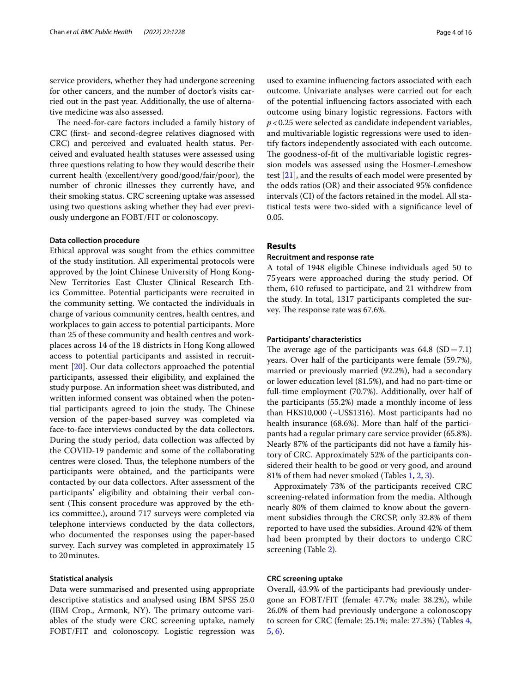service providers, whether they had undergone screening for other cancers, and the number of doctor's visits carried out in the past year. Additionally, the use of alternative medicine was also assessed.

The need-for-care factors included a family history of CRC (frst- and second-degree relatives diagnosed with CRC) and perceived and evaluated health status. Perceived and evaluated health statuses were assessed using three questions relating to how they would describe their current health (excellent/very good/good/fair/poor), the number of chronic illnesses they currently have, and their smoking status. CRC screening uptake was assessed using two questions asking whether they had ever previously undergone an FOBT/FIT or colonoscopy.

#### **Data collection procedure**

Ethical approval was sought from the ethics committee of the study institution. All experimental protocols were approved by the Joint Chinese University of Hong Kong-New Territories East Cluster Clinical Research Ethics Committee. Potential participants were recruited in the community setting. We contacted the individuals in charge of various community centres, health centres, and workplaces to gain access to potential participants. More than 25 of these community and health centres and workplaces across 14 of the 18 districts in Hong Kong allowed access to potential participants and assisted in recruitment [\[20](#page-14-17)]. Our data collectors approached the potential participants, assessed their eligibility, and explained the study purpose. An information sheet was distributed, and written informed consent was obtained when the potential participants agreed to join the study. The Chinese version of the paper-based survey was completed via face-to-face interviews conducted by the data collectors. During the study period, data collection was afected by the COVID-19 pandemic and some of the collaborating centres were closed. Thus, the telephone numbers of the participants were obtained, and the participants were contacted by our data collectors. After assessment of the participants' eligibility and obtaining their verbal consent (This consent procedure was approved by the ethics committee.), around 717 surveys were completed via telephone interviews conducted by the data collectors, who documented the responses using the paper-based survey. Each survey was completed in approximately 15 to 20minutes.

#### **Statistical analysis**

Data were summarised and presented using appropriate descriptive statistics and analysed using IBM SPSS 25.0 (IBM Crop., Armonk, NY). The primary outcome variables of the study were CRC screening uptake, namely FOBT/FIT and colonoscopy. Logistic regression was used to examine infuencing factors associated with each outcome. Univariate analyses were carried out for each of the potential infuencing factors associated with each outcome using binary logistic regressions. Factors with *p*<0.25 were selected as candidate independent variables, and multivariable logistic regressions were used to identify factors independently associated with each outcome. The goodness-of-fit of the multivariable logistic regression models was assessed using the Hosmer-Lemeshow test [\[21\]](#page-14-18), and the results of each model were presented by the odds ratios (OR) and their associated 95% confdence intervals (CI) of the factors retained in the model. All statistical tests were two-sided with a signifcance level of 0.05.

#### **Results**

#### **Recruitment and response rate**

A total of 1948 eligible Chinese individuals aged 50 to 75years were approached during the study period. Of them, 610 refused to participate, and 21 withdrew from the study. In total, 1317 participants completed the survey. The response rate was 67.6%.

## **Participants' characteristics**

The average age of the participants was  $64.8$  (SD=7.1) years. Over half of the participants were female (59.7%), married or previously married (92.2%), had a secondary or lower education level (81.5%), and had no part-time or full-time employment (70.7%). Additionally, over half of the participants (55.2%) made a monthly income of less than HK\$10,000 (~US\$1316). Most participants had no health insurance (68.6%). More than half of the participants had a regular primary care service provider (65.8%). Nearly 87% of the participants did not have a family history of CRC. Approximately 52% of the participants considered their health to be good or very good, and around 81% of them had never smoked (Tables [1](#page-4-0), [2,](#page-5-0) [3](#page-7-0)).

Approximately 73% of the participants received CRC screening-related information from the media. Although nearly 80% of them claimed to know about the government subsidies through the CRCSP, only 32.8% of them reported to have used the subsidies. Around 42% of them had been prompted by their doctors to undergo CRC screening (Table [2](#page-5-0)).

# **CRC screening uptake**

Overall, 43.9% of the participants had previously undergone an FOBT/FIT (female: 47.7%; male: 38.2%), while 26.0% of them had previously undergone a colonoscopy to screen for CRC (female: 25.1%; male: 27.3%) (Tables [4](#page-7-1), [5,](#page-8-0) [6](#page-11-0)).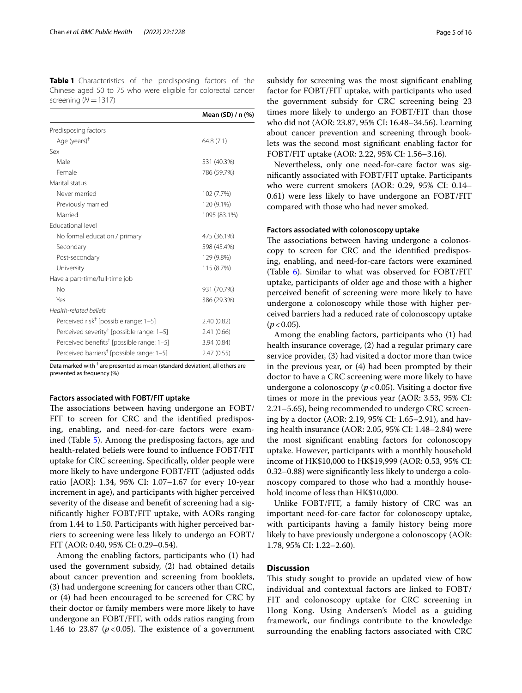<span id="page-4-0"></span>**Table 1** Characteristics of the predisposing factors of the Chinese aged 50 to 75 who were eligible for colorectal cancer screening ( $N = 1317$ )

|                                                       | Mean (SD) / n (%) |
|-------------------------------------------------------|-------------------|
| Predisposing factors                                  |                   |
| Age (years) <sup>+</sup>                              | 64.8(7.1)         |
| Sex                                                   |                   |
| Male                                                  | 531 (40.3%)       |
| Female                                                | 786 (59.7%)       |
| Marital status                                        |                   |
| Never married                                         | 102 (7.7%)        |
| Previously married                                    | 120 (9.1%)        |
| Married                                               | 1095 (83.1%)      |
| Educational level                                     |                   |
| No formal education / primary                         | 475 (36.1%)       |
| Secondary                                             | 598 (45.4%)       |
| Post-secondary                                        | 129 (9.8%)        |
| University                                            | 115 (8.7%)        |
| Have a part-time/full-time job                        |                   |
| No                                                    | 931 (70.7%)       |
| Yes                                                   | 386 (29.3%)       |
| Health-related beliefs                                |                   |
| Perceived risk <sup>†</sup> [possible range: 1-5]     | 2.40(0.82)        |
| Perceived severity <sup>†</sup> [possible range: 1-5] | 2.41(0.66)        |
| Perceived benefits <sup>†</sup> [possible range: 1-5] | 3.94(0.84)        |
| Perceived barriers <sup>†</sup> [possible range: 1-5] | 2.47(0.55)        |

Data marked with  $^\dagger$  are presented as mean (standard deviation), all others are presented as frequency (%)

#### **Factors associated with FOBT/FIT uptake**

The associations between having undergone an FOBT/ FIT to screen for CRC and the identifed predisposing, enabling, and need-for-care factors were examined (Table [5](#page-8-0)). Among the predisposing factors, age and health-related beliefs were found to infuence FOBT/FIT uptake for CRC screening. Specifcally, older people were more likely to have undergone FOBT/FIT (adjusted odds ratio [AOR]: 1.34, 95% CI: 1.07–1.67 for every 10-year increment in age), and participants with higher perceived severity of the disease and beneft of screening had a signifcantly higher FOBT/FIT uptake, with AORs ranging from 1.44 to 1.50. Participants with higher perceived barriers to screening were less likely to undergo an FOBT/ FIT (AOR: 0.40, 95% CI: 0.29–0.54).

Among the enabling factors, participants who (1) had used the government subsidy, (2) had obtained details about cancer prevention and screening from booklets, (3) had undergone screening for cancers other than CRC, or (4) had been encouraged to be screened for CRC by their doctor or family members were more likely to have undergone an FOBT/FIT, with odds ratios ranging from 1.46 to 23.87 ( $p < 0.05$ ). The existence of a government subsidy for screening was the most signifcant enabling factor for FOBT/FIT uptake, with participants who used the government subsidy for CRC screening being 23 times more likely to undergo an FOBT/FIT than those who did not (AOR: 23.87, 95% CI: 16.48–34.56). Learning about cancer prevention and screening through booklets was the second most signifcant enabling factor for FOBT/FIT uptake (AOR: 2.22, 95% CI: 1.56–3.16).

Nevertheless, only one need-for-care factor was signifcantly associated with FOBT/FIT uptake. Participants who were current smokers (AOR: 0.29, 95% CI: 0.14– 0.61) were less likely to have undergone an FOBT/FIT compared with those who had never smoked.

## **Factors associated with colonoscopy uptake**

The associations between having undergone a colonoscopy to screen for CRC and the identifed predisposing, enabling, and need-for-care factors were examined (Table  $6$ ). Similar to what was observed for FOBT/FIT uptake, participants of older age and those with a higher perceived beneft of screening were more likely to have undergone a colonoscopy while those with higher perceived barriers had a reduced rate of colonoscopy uptake  $(p < 0.05)$ .

Among the enabling factors, participants who (1) had health insurance coverage, (2) had a regular primary care service provider, (3) had visited a doctor more than twice in the previous year, or (4) had been prompted by their doctor to have a CRC screening were more likely to have undergone a colonoscopy  $(p < 0.05)$ . Visiting a doctor five times or more in the previous year (AOR: 3.53, 95% CI: 2.21–5.65), being recommended to undergo CRC screening by a doctor (AOR: 2.19, 95% CI: 1.65–2.91), and having health insurance (AOR: 2.05, 95% CI: 1.48–2.84) were the most signifcant enabling factors for colonoscopy uptake. However, participants with a monthly household income of HK\$10,000 to HK\$19,999 (AOR: 0.53, 95% CI: 0.32–0.88) were signifcantly less likely to undergo a colonoscopy compared to those who had a monthly household income of less than HK\$10,000.

Unlike FOBT/FIT, a family history of CRC was an important need-for-care factor for colonoscopy uptake, with participants having a family history being more likely to have previously undergone a colonoscopy (AOR: 1.78, 95% CI: 1.22–2.60).

# **Discussion**

This study sought to provide an updated view of how individual and contextual factors are linked to FOBT/ FIT and colonoscopy uptake for CRC screening in Hong Kong. Using Andersen's Model as a guiding framework, our fndings contribute to the knowledge surrounding the enabling factors associated with CRC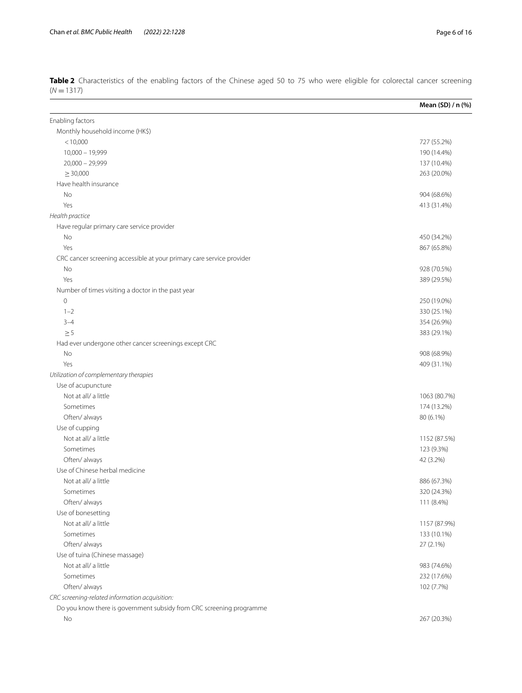|                                                                       | Mean (SD) / n (%) |
|-----------------------------------------------------------------------|-------------------|
| Enabling factors                                                      |                   |
| Monthly household income (HK\$)                                       |                   |
| < 10,000                                                              | 727 (55.2%)       |
| $10,000 - 19,999$                                                     | 190 (14.4%)       |
| $20,000 - 29,999$                                                     | 137 (10.4%)       |
| $\geq 30,000$                                                         | 263 (20.0%)       |
| Have health insurance                                                 |                   |
| No                                                                    | 904 (68.6%)       |
| Yes                                                                   | 413 (31.4%)       |
| Health practice                                                       |                   |
| Have regular primary care service provider                            |                   |
| No                                                                    | 450 (34.2%)       |
| Yes                                                                   | 867 (65.8%)       |
| CRC cancer screening accessible at your primary care service provider |                   |
| No                                                                    | 928 (70.5%)       |
| Yes                                                                   | 389 (29.5%)       |
| Number of times visiting a doctor in the past year                    |                   |
| $\mathbf 0$                                                           | 250 (19.0%)       |
| $1 - 2$                                                               | 330 (25.1%)       |
| $3 - 4$                                                               | 354 (26.9%)       |
| $\geq$ 5                                                              | 383 (29.1%)       |
| Had ever undergone other cancer screenings except CRC                 |                   |
| No                                                                    | 908 (68.9%)       |
| Yes                                                                   | 409 (31.1%)       |
| Utilization of complementary therapies                                |                   |
| Use of acupuncture                                                    |                   |
| Not at all/ a little                                                  | 1063 (80.7%)      |
| Sometimes                                                             | 174 (13.2%)       |
| Often/always                                                          | 80 (6.1%)         |
| Use of cupping                                                        |                   |
| Not at all/ a little                                                  | 1152 (87.5%)      |
| Sometimes                                                             | 123 (9.3%)        |
| Often/always                                                          | 42 (3.2%)         |
| Use of Chinese herbal medicine                                        |                   |
| Not at all/ a little                                                  | 886 (67.3%)       |
| Sometimes                                                             | 320 (24.3%)       |
| Often/always                                                          | 111 (8.4%)        |
| Use of bonesetting                                                    |                   |
| Not at all/ a little                                                  | 1157 (87.9%)      |
| Sometimes                                                             | 133 (10.1%)       |
| Often/always                                                          | 27 (2.1%)         |
| Use of tuina (Chinese massage)                                        |                   |
| Not at all/ a little                                                  | 983 (74.6%)       |
| Sometimes                                                             | 232 (17.6%)       |
| Often/always                                                          | 102 (7.7%)        |
| CRC screening-related information acquisition:                        |                   |
| Do you know there is government subsidy from CRC screening programme  |                   |
| No                                                                    | 267 (20.3%)       |

<span id="page-5-0"></span>**Table 2** Characteristics of the enabling factors of the Chinese aged 50 to 75 who were eligible for colorectal cancer screening (*N* =1317)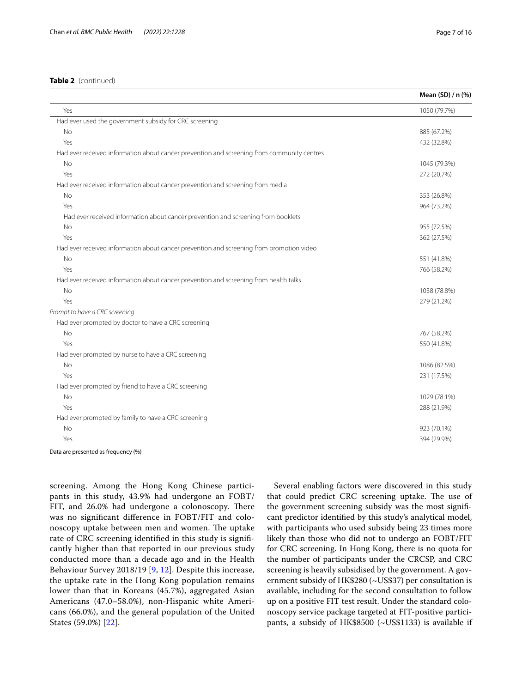# **Table 2** (continued)

|                                                                                            | Mean (SD) / n (%) |
|--------------------------------------------------------------------------------------------|-------------------|
| Yes                                                                                        | 1050 (79.7%)      |
| Had ever used the government subsidy for CRC screening                                     |                   |
| No                                                                                         | 885 (67.2%)       |
| Yes                                                                                        | 432 (32.8%)       |
| Had ever received information about cancer prevention and screening from community centres |                   |
| No                                                                                         | 1045 (79.3%)      |
| Yes                                                                                        | 272 (20.7%)       |
| Had ever received information about cancer prevention and screening from media             |                   |
| <b>No</b>                                                                                  | 353 (26.8%)       |
| Yes                                                                                        | 964 (73.2%)       |
| Had ever received information about cancer prevention and screening from booklets          |                   |
| <b>No</b>                                                                                  | 955 (72.5%)       |
| Yes                                                                                        | 362 (27.5%)       |
| Had ever received information about cancer prevention and screening from promotion video   |                   |
| No                                                                                         | 551 (41.8%)       |
| Yes                                                                                        | 766 (58.2%)       |
| Had ever received information about cancer prevention and screening from health talks      |                   |
| <b>No</b>                                                                                  | 1038 (78.8%)      |
| Yes                                                                                        | 279 (21.2%)       |
| Prompt to have a CRC screening                                                             |                   |
| Had ever prompted by doctor to have a CRC screening                                        |                   |
| <b>No</b>                                                                                  | 767 (58.2%)       |
| Yes                                                                                        | 550 (41.8%)       |
| Had ever prompted by nurse to have a CRC screening                                         |                   |
| <b>No</b>                                                                                  | 1086 (82.5%)      |
| Yes                                                                                        | 231 (17.5%)       |
| Had ever prompted by friend to have a CRC screening                                        |                   |
| No                                                                                         | 1029 (78.1%)      |
| Yes                                                                                        | 288 (21.9%)       |
| Had ever prompted by family to have a CRC screening                                        |                   |
| <b>No</b>                                                                                  | 923 (70.1%)       |
| Yes                                                                                        | 394 (29.9%)       |

Data are presented as frequency (%)

screening. Among the Hong Kong Chinese participants in this study, 43.9% had undergone an FOBT/ FIT, and 26.0% had undergone a colonoscopy. There was no signifcant diference in FOBT/FIT and colonoscopy uptake between men and women. The uptake rate of CRC screening identifed in this study is signifcantly higher than that reported in our previous study conducted more than a decade ago and in the Health Behaviour Survey 2018/19 [[9](#page-14-8), [12\]](#page-14-11). Despite this increase, the uptake rate in the Hong Kong population remains lower than that in Koreans (45.7%), aggregated Asian Americans (47.0–58.0%), non-Hispanic white Americans (66.0%), and the general population of the United States (59.0%) [[22](#page-14-19)].

Several enabling factors were discovered in this study that could predict CRC screening uptake. The use of the government screening subsidy was the most signifcant predictor identifed by this study's analytical model, with participants who used subsidy being 23 times more likely than those who did not to undergo an FOBT/FIT for CRC screening. In Hong Kong, there is no quota for the number of participants under the CRCSP, and CRC screening is heavily subsidised by the government. A government subsidy of HK\$280 (~US\$37) per consultation is available, including for the second consultation to follow up on a positive FIT test result. Under the standard colonoscopy service package targeted at FIT-positive participants, a subsidy of HK\$8500 (~US\$1133) is available if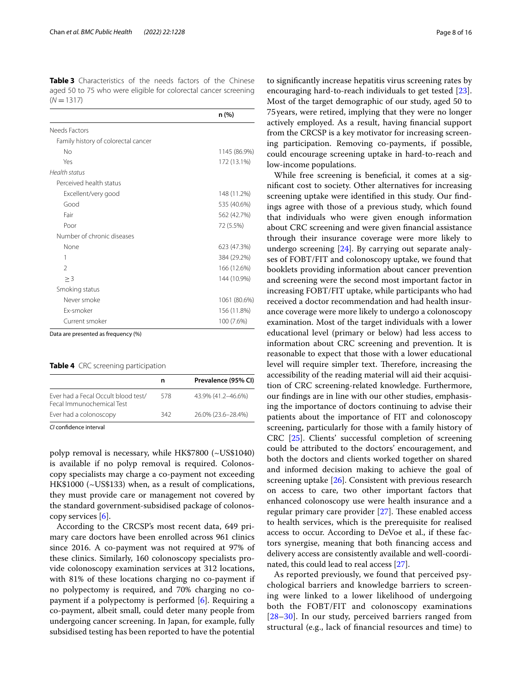<span id="page-7-0"></span>**Table 3** Characteristics of the needs factors of the Chinese aged 50 to 75 who were eligible for colorectal cancer screening  $(N = 1317)$ 

|                                     | n (%)        |
|-------------------------------------|--------------|
| Needs Factors                       |              |
| Family history of colorectal cancer |              |
| No                                  | 1145 (86.9%) |
| Yes                                 | 172 (13.1%)  |
| Health status                       |              |
| Perceived health status             |              |
| Excellent/very good                 | 148 (11.2%)  |
| Good                                | 535 (40.6%)  |
| Fair                                | 562 (42.7%)  |
| Poor                                | 72 (5.5%)    |
| Number of chronic diseases          |              |
| None                                | 623 (47.3%)  |
| 1                                   | 384 (29.2%)  |
| $\mathfrak{D}$                      | 166 (12.6%)  |
| $\geq$ 3                            | 144 (10.9%)  |
| Smoking status                      |              |
| Never smoke                         | 1061 (80.6%) |
| Fx-smoker                           | 156 (11.8%)  |
| Current smoker                      | 100 (7.6%)   |

Data are presented as frequency (%)

<span id="page-7-1"></span>**Table 4** CRC screening participation

|                                                                  | n   | Prevalence (95% CI) |
|------------------------------------------------------------------|-----|---------------------|
| Ever had a Fecal Occult blood test/<br>Fecal Immunochemical Test | 578 | 43.9% (41.2-46.6%)  |
| Ever had a colonoscopy                                           | 342 | 26.0% (23.6-28.4%)  |
| $C1$ and $C$ denotes the same of                                 |     |                     |

*CI* confdence interval

polyp removal is necessary, while HK\$7800 (~US\$1040) is available if no polyp removal is required. Colonoscopy specialists may charge a co-payment not exceeding HK\$1000 (~US\$133) when, as a result of complications, they must provide care or management not covered by the standard government-subsidised package of colonoscopy services [\[6](#page-14-5)].

According to the CRCSP's most recent data, 649 primary care doctors have been enrolled across 961 clinics since 2016. A co-payment was not required at 97% of these clinics. Similarly, 160 colonoscopy specialists provide colonoscopy examination services at 312 locations, with 81% of these locations charging no co-payment if no polypectomy is required, and 70% charging no copayment if a polypectomy is performed [[6\]](#page-14-5). Requiring a co-payment, albeit small, could deter many people from undergoing cancer screening. In Japan, for example, fully subsidised testing has been reported to have the potential to signifcantly increase hepatitis virus screening rates by encouraging hard-to-reach individuals to get tested [\[23](#page-14-20)]. Most of the target demographic of our study, aged 50 to 75years, were retired, implying that they were no longer actively employed. As a result, having fnancial support from the CRCSP is a key motivator for increasing screening participation. Removing co-payments, if possible, could encourage screening uptake in hard-to-reach and low-income populations.

While free screening is beneficial, it comes at a signifcant cost to society. Other alternatives for increasing screening uptake were identifed in this study. Our fndings agree with those of a previous study, which found that individuals who were given enough information about CRC screening and were given fnancial assistance through their insurance coverage were more likely to undergo screening [\[24](#page-14-21)]. By carrying out separate analyses of FOBT/FIT and colonoscopy uptake, we found that booklets providing information about cancer prevention and screening were the second most important factor in increasing FOBT/FIT uptake, while participants who had received a doctor recommendation and had health insurance coverage were more likely to undergo a colonoscopy examination. Most of the target individuals with a lower educational level (primary or below) had less access to information about CRC screening and prevention. It is reasonable to expect that those with a lower educational level will require simpler text. Therefore, increasing the accessibility of the reading material will aid their acquisition of CRC screening-related knowledge. Furthermore, our fndings are in line with our other studies, emphasising the importance of doctors continuing to advise their patients about the importance of FIT and colonoscopy screening, particularly for those with a family history of CRC [[25](#page-14-22)]. Clients' successful completion of screening could be attributed to the doctors' encouragement, and both the doctors and clients worked together on shared and informed decision making to achieve the goal of screening uptake [\[26](#page-14-23)]. Consistent with previous research on access to care, two other important factors that enhanced colonoscopy use were health insurance and a regular primary care provider  $[27]$  $[27]$ . These enabled access to health services, which is the prerequisite for realised access to occur. According to DeVoe et al., if these factors synergise, meaning that both fnancing access and delivery access are consistently available and well-coordinated, this could lead to real access [[27](#page-15-0)].

As reported previously, we found that perceived psychological barriers and knowledge barriers to screening were linked to a lower likelihood of undergoing both the FOBT/FIT and colonoscopy examinations [[28](#page-15-1)[–30](#page-15-2)]. In our study, perceived barriers ranged from structural (e.g., lack of fnancial resources and time) to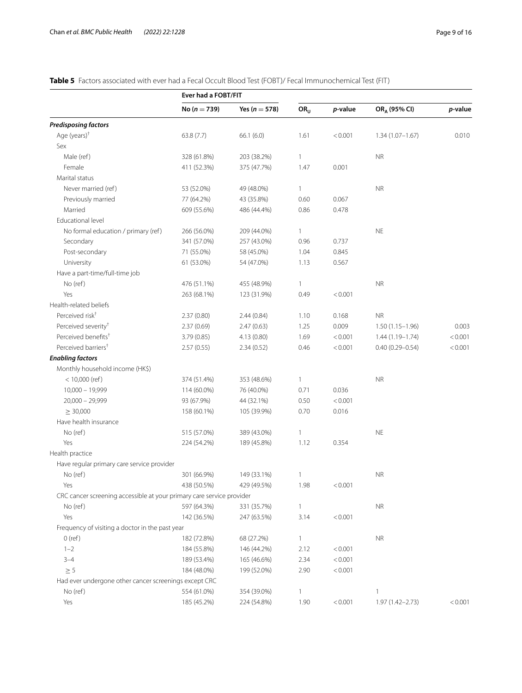# <span id="page-8-0"></span>**Table 5** Factors associated with ever had a Fecal Occult Blood Test (FOBT)/ Fecal Immunochemical Test (FIT)

|                                                                       | Ever had a FOBT/FIT |                   |                 |         |                          |         |
|-----------------------------------------------------------------------|---------------------|-------------------|-----------------|---------|--------------------------|---------|
|                                                                       | No ( $n = 739$ )    | Yes ( $n = 578$ ) | OR <sub>U</sub> | p-value | OR <sub>A</sub> (95% CI) | p-value |
| <b>Predisposing factors</b>                                           |                     |                   |                 |         |                          |         |
| Age $(years)^+$                                                       | 63.8(7.7)           | 66.1(6.0)         | 1.61            | < 0.001 | $1.34(1.07 - 1.67)$      | 0.010   |
| Sex                                                                   |                     |                   |                 |         |                          |         |
| Male (ref)                                                            | 328 (61.8%)         | 203 (38.2%)       | $\mathbf{1}$    |         | <b>NR</b>                |         |
| Female                                                                | 411 (52.3%)         | 375 (47.7%)       | 1.47            | 0.001   |                          |         |
| Marital status                                                        |                     |                   |                 |         |                          |         |
| Never married (ref)                                                   | 53 (52.0%)          | 49 (48.0%)        | $\mathbf{1}$    |         | <b>NR</b>                |         |
| Previously married                                                    | 77 (64.2%)          | 43 (35.8%)        | 0.60            | 0.067   |                          |         |
| Married                                                               | 609 (55.6%)         | 486 (44.4%)       | 0.86            | 0.478   |                          |         |
| Educational level                                                     |                     |                   |                 |         |                          |         |
| No formal education / primary (ref)                                   | 266 (56.0%)         | 209 (44.0%)       | $\mathbf{1}$    |         | <b>NE</b>                |         |
| Secondary                                                             | 341 (57.0%)         | 257 (43.0%)       | 0.96            | 0.737   |                          |         |
| Post-secondary                                                        | 71 (55.0%)          | 58 (45.0%)        | 1.04            | 0.845   |                          |         |
| University                                                            | 61 (53.0%)          | 54 (47.0%)        | 1.13            | 0.567   |                          |         |
| Have a part-time/full-time job                                        |                     |                   |                 |         |                          |         |
| No (ref)                                                              | 476 (51.1%)         | 455 (48.9%)       | $\mathbf{1}$    |         | <b>NR</b>                |         |
| Yes                                                                   | 263 (68.1%)         | 123 (31.9%)       | 0.49            | < 0.001 |                          |         |
| Health-related beliefs                                                |                     |                   |                 |         |                          |         |
| Perceived risk <sup>+</sup>                                           | 2.37(0.80)          | 2.44(0.84)        | 1.10            | 0.168   | <b>NR</b>                |         |
| Perceived severity <sup>†</sup>                                       | 2.37(0.69)          | 2.47(0.63)        | 1.25            | 0.009   | $1.50(1.15-1.96)$        | 0.003   |
| Perceived benefits <sup>+</sup>                                       | 3.79(0.85)          | 4.13(0.80)        | 1.69            | < 0.001 | $1.44(1.19 - 1.74)$      | < 0.001 |
| Perceived barriers <sup>†</sup>                                       | 2.57(0.55)          | 2.34(0.52)        | 0.46            | < 0.001 | $0.40(0.29 - 0.54)$      | < 0.001 |
| <b>Enabling factors</b>                                               |                     |                   |                 |         |                          |         |
| Monthly household income (HK\$)                                       |                     |                   |                 |         |                          |         |
| $< 10,000$ (ref)                                                      | 374 (51.4%)         | 353 (48.6%)       | $\mathbf{1}$    |         | <b>NR</b>                |         |
| $10,000 - 19,999$                                                     | 114 (60.0%)         | 76 (40.0%)        | 0.71            | 0.036   |                          |         |
| $20,000 - 29,999$                                                     | 93 (67.9%)          | 44 (32.1%)        | 0.50            | < 0.001 |                          |         |
| $\geq$ 30,000                                                         | 158 (60.1%)         | 105 (39.9%)       | 0.70            | 0.016   |                          |         |
| Have health insurance                                                 |                     |                   |                 |         |                          |         |
| No (ref)                                                              | 515 (57.0%)         | 389 (43.0%)       | $\mathbf{1}$    |         | <b>NE</b>                |         |
| Yes                                                                   | 224 (54.2%)         | 189 (45.8%)       | 1.12            | 0.354   |                          |         |
| Health practice                                                       |                     |                   |                 |         |                          |         |
| Have regular primary care service provider                            |                     |                   |                 |         |                          |         |
| No (ref)                                                              | 301 (66.9%)         | 149 (33.1%)       | $\mathbf{1}$    |         | <b>NR</b>                |         |
| Yes                                                                   | 438 (50.5%)         | 429 (49.5%)       | 1.98            | < 0.001 |                          |         |
| CRC cancer screening accessible at your primary care service provider |                     |                   |                 |         |                          |         |
| No (ref)                                                              | 597 (64.3%)         | 331 (35.7%)       | $\mathbf{1}$    |         | <b>NR</b>                |         |
| Yes                                                                   | 142 (36.5%)         | 247 (63.5%)       | 3.14            | < 0.001 |                          |         |
| Frequency of visiting a doctor in the past year                       |                     |                   |                 |         |                          |         |
| $0$ (ref)                                                             | 182 (72.8%)         | 68 (27.2%)        | $\mathbf{1}$    |         | <b>NR</b>                |         |
| $1 - 2$                                                               | 184 (55.8%)         | 146 (44.2%)       | 2.12            | < 0.001 |                          |         |
| $3 - 4$                                                               | 189 (53.4%)         | 165 (46.6%)       | 2.34            | < 0.001 |                          |         |
| $\geq$ 5                                                              | 184 (48.0%)         | 199 (52.0%)       | 2.90            | < 0.001 |                          |         |
| Had ever undergone other cancer screenings except CRC                 |                     |                   |                 |         |                          |         |
| No (ref)                                                              | 554 (61.0%)         | 354 (39.0%)       | $\mathbf{1}$    |         | 1                        |         |
| Yes                                                                   | 185 (45.2%)         | 224 (54.8%)       | 1.90            | < 0.001 | 1.97 (1.42-2.73)         | < 0.001 |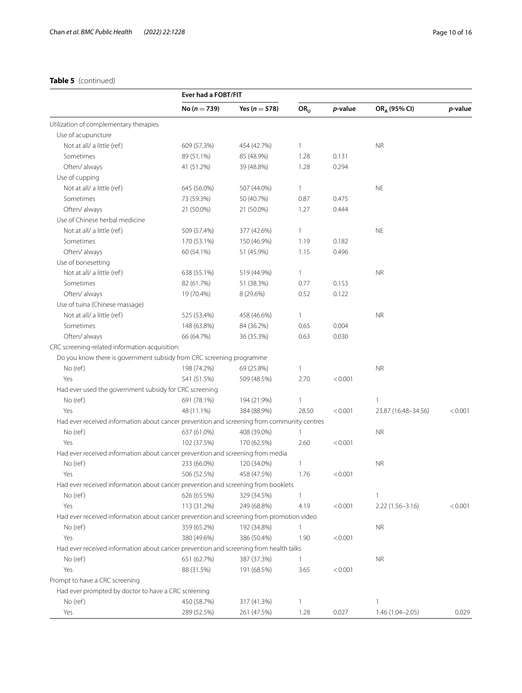# **Table 5** (continued)

|                                                                                            | Ever had a FOBT/FIT |                   |                 |         |                          |         |
|--------------------------------------------------------------------------------------------|---------------------|-------------------|-----------------|---------|--------------------------|---------|
|                                                                                            | No ( $n = 739$ )    | Yes ( $n = 578$ ) | OR <sub>U</sub> | p-value | OR <sub>A</sub> (95% CI) | p-value |
| Utilization of complementary therapies                                                     |                     |                   |                 |         |                          |         |
| Use of acupuncture                                                                         |                     |                   |                 |         |                          |         |
| Not at all/ a little (ref)                                                                 | 609 (57.3%)         | 454 (42.7%)       | 1               |         | <b>NR</b>                |         |
| Sometimes                                                                                  | 89 (51.1%)          | 85 (48.9%)        | 1.28            | 0.131   |                          |         |
| Often/always                                                                               | 41 (51.2%)          | 39 (48.8%)        | 1.28            | 0.294   |                          |         |
| Use of cupping                                                                             |                     |                   |                 |         |                          |         |
| Not at all/ a little (ref)                                                                 | 645 (56.0%)         | 507 (44.0%)       | $\mathbf{1}$    |         | <b>NE</b>                |         |
| Sometimes                                                                                  | 73 (59.3%)          | 50 (40.7%)        | 0.87            | 0.475   |                          |         |
| Often/ always                                                                              | 21 (50.0%)          | 21 (50.0%)        | 1.27            | 0.444   |                          |         |
| Use of Chinese herbal medicine                                                             |                     |                   |                 |         |                          |         |
| Not at all/ a little (ref)                                                                 | 509 (57.4%)         | 377 (42.6%)       | $\mathbf{1}$    |         | <b>NE</b>                |         |
| Sometimes                                                                                  | 170 (53.1%)         | 150 (46.9%)       | 1.19            | 0.182   |                          |         |
| Often/ always                                                                              | 60 (54.1%)          | 51 (45.9%)        | 1.15            | 0.496   |                          |         |
| Use of bonesetting                                                                         |                     |                   |                 |         |                          |         |
| Not at all/ a little (ref)                                                                 | 638 (55.1%)         | 519 (44.9%)       | 1               |         | <b>NR</b>                |         |
| Sometimes                                                                                  | 82 (61.7%)          | 51 (38.3%)        | 0.77            | 0.153   |                          |         |
| Often/ always                                                                              | 19 (70.4%)          | 8 (29.6%)         | 0.52            | 0.122   |                          |         |
| Use of tuina (Chinese massage)                                                             |                     |                   |                 |         |                          |         |
| Not at all/ a little (ref)                                                                 | 525 (53.4%)         | 458 (46.6%)       | 1               |         | <b>NR</b>                |         |
| Sometimes                                                                                  | 148 (63.8%)         | 84 (36.2%)        | 0.65            | 0.004   |                          |         |
| Often/always                                                                               | 66 (64.7%)          | 36 (35.3%)        | 0.63            | 0.030   |                          |         |
| CRC screening-related information acquisition:                                             |                     |                   |                 |         |                          |         |
| Do you know there is government subsidy from CRC screening programme                       |                     |                   |                 |         |                          |         |
| No (ref)                                                                                   | 198 (74.2%)         | 69 (25.8%)        | 1               |         | <b>NR</b>                |         |
| Yes                                                                                        | 541 (51.5%)         | 509 (48.5%)       | 2.70            | < 0.001 |                          |         |
| Had ever used the government subsidy for CRC screening                                     |                     |                   |                 |         |                          |         |
| No (ref)                                                                                   | 691 (78.1%)         | 194 (21.9%)       | 1               |         | 1                        |         |
| Yes                                                                                        | 48 (11.1%)          | 384 (88.9%)       | 28.50           | < 0.001 | 23.87 (16.48-34.56)      | < 0.001 |
| Had ever received information about cancer prevention and screening from community centres |                     |                   |                 |         |                          |         |
| No (ref)                                                                                   | 637 (61.0%)         | 408 (39.0%)       | 1               |         | <b>NR</b>                |         |
| Yes                                                                                        | 102 (37.5%)         | 170 (62.5%)       | 2.60            | < 0.001 |                          |         |
| Had ever received information about cancer prevention and screening from media             |                     |                   |                 |         |                          |         |
| No (ref)                                                                                   | 233 (66.0%)         | 120 (34.0%)       | 1               |         | <b>NR</b>                |         |
| Yes                                                                                        | 506 (52.5%)         | 458 (47.5%)       | 1.76            | < 0.001 |                          |         |
| Had ever received information about cancer prevention and screening from booklets          |                     |                   |                 |         |                          |         |
| No (ref)                                                                                   | 626 (65.5%)         | 329 (34.5%)       | 1               |         | 1                        |         |
| Yes                                                                                        | 113 (31.2%)         | 249 (68.8%)       | 4.19            | < 0.001 | $2.22(1.56 - 3.16)$      | < 0.001 |
| Had ever received information about cancer prevention and screening from promotion video   |                     |                   |                 |         |                          |         |
| No (ref)                                                                                   | 359 (65.2%)         | 192 (34.8%)       | 1               |         | <b>NR</b>                |         |
| Yes                                                                                        | 380 (49.6%)         | 386 (50.4%)       | 1.90            | < 0.001 |                          |         |
| Had ever received information about cancer prevention and screening from health talks      |                     |                   |                 |         |                          |         |
| No (ref)                                                                                   | 651 (62.7%)         | 387 (37.3%)       | 1               |         | <b>NR</b>                |         |
| Yes                                                                                        | 88 (31.5%)          | 191 (68.5%)       | 3.65            | < 0.001 |                          |         |
| Prompt to have a CRC screening                                                             |                     |                   |                 |         |                          |         |
| Had ever prompted by doctor to have a CRC screening                                        |                     |                   |                 |         |                          |         |
| No (ref)                                                                                   | 450 (58.7%)         | 317 (41.3%)       | $\mathbf{1}$    |         | 1                        |         |
| Yes                                                                                        | 289 (52.5%)         | 261 (47.5%)       | 1.28            | 0.027   | 1.46 (1.04-2.05)         | 0.029   |
|                                                                                            |                     |                   |                 |         |                          |         |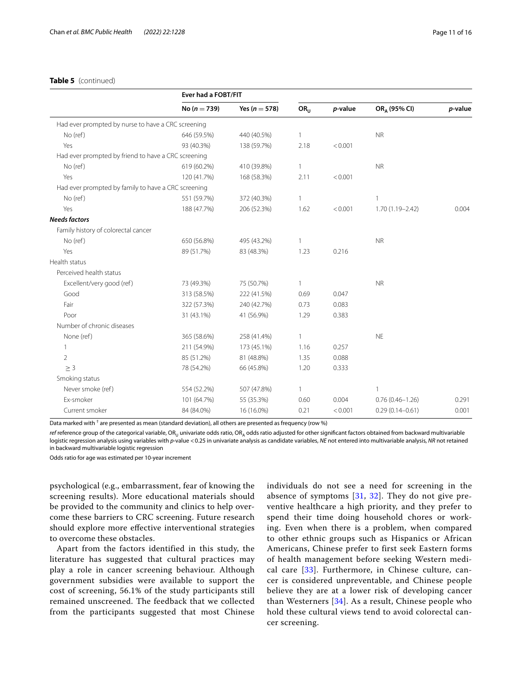# **Table 5** (continued)

|                                                     | Ever had a FOBT/FIT |                   |                 |         |                          |         |
|-----------------------------------------------------|---------------------|-------------------|-----------------|---------|--------------------------|---------|
|                                                     | No ( $n = 739$ )    | Yes ( $n = 578$ ) | OR <sub>U</sub> | p-value | OR <sub>A</sub> (95% CI) | p-value |
| Had ever prompted by nurse to have a CRC screening  |                     |                   |                 |         |                          |         |
| No (ref)                                            | 646 (59.5%)         | 440 (40.5%)       | 1               |         | <b>NR</b>                |         |
| Yes                                                 | 93 (40.3%)          | 138 (59.7%)       | 2.18            | < 0.001 |                          |         |
| Had ever prompted by friend to have a CRC screening |                     |                   |                 |         |                          |         |
| No (ref)                                            | 619 (60.2%)         | 410 (39.8%)       | $\mathbf{1}$    |         | <b>NR</b>                |         |
| Yes                                                 | 120 (41.7%)         | 168 (58.3%)       | 2.11            | < 0.001 |                          |         |
| Had ever prompted by family to have a CRC screening |                     |                   |                 |         |                          |         |
| No (ref)                                            | 551 (59.7%)         | 372 (40.3%)       | $\mathbf{1}$    |         | 1                        |         |
| Yes                                                 | 188 (47.7%)         | 206 (52.3%)       | 1.62            | < 0.001 | $1.70(1.19 - 2.42)$      | 0.004   |
| <b>Needs factors</b>                                |                     |                   |                 |         |                          |         |
| Family history of colorectal cancer                 |                     |                   |                 |         |                          |         |
| No (ref)                                            | 650 (56.8%)         | 495 (43.2%)       | 1               |         | <b>NR</b>                |         |
| Yes                                                 | 89 (51.7%)          | 83 (48.3%)        | 1.23            | 0.216   |                          |         |
| Health status                                       |                     |                   |                 |         |                          |         |
| Perceived health status                             |                     |                   |                 |         |                          |         |
| Excellent/very good (ref)                           | 73 (49.3%)          | 75 (50.7%)        | 1               |         | <b>NR</b>                |         |
| Good                                                | 313 (58.5%)         | 222 (41.5%)       | 0.69            | 0.047   |                          |         |
| Fair                                                | 322 (57.3%)         | 240 (42.7%)       | 0.73            | 0.083   |                          |         |
| Poor                                                | 31 (43.1%)          | 41 (56.9%)        | 1.29            | 0.383   |                          |         |
| Number of chronic diseases                          |                     |                   |                 |         |                          |         |
| None (ref)                                          | 365 (58.6%)         | 258 (41.4%)       | 1               |         | <b>NE</b>                |         |
| 1                                                   | 211 (54.9%)         | 173 (45.1%)       | 1.16            | 0.257   |                          |         |
| $\overline{2}$                                      | 85 (51.2%)          | 81 (48.8%)        | 1.35            | 0.088   |                          |         |
| $\geq 3$                                            | 78 (54.2%)          | 66 (45.8%)        | 1.20            | 0.333   |                          |         |
| Smoking status                                      |                     |                   |                 |         |                          |         |
| Never smoke (ref)                                   | 554 (52.2%)         | 507 (47.8%)       | 1               |         | $\mathbf{1}$             |         |
| Ex-smoker                                           | 101 (64.7%)         | 55 (35.3%)        | 0.60            | 0.004   | $0.76(0.46 - 1.26)$      | 0.291   |
| Current smoker                                      | 84 (84.0%)          | 16 (16.0%)        | 0.21            | < 0.001 | $0.29(0.14 - 0.61)$      | 0.001   |

Data marked with  $^\dagger$  are presented as mean (standard deviation), all others are presented as frequency (row %)

ref reference group of the categorical variable, OR<sub>U</sub> univariate odds ratio, OR<sub>A</sub> odds ratio adjusted for other significant factors obtained from backward multivariable logistic regression analysis using variables with *p*-value <0.25 in univariate analysis as candidate variables, *NE* not entered into multivariable analysis, *NR* not retained in backward multivariable logistic regression

Odds ratio for age was estimated per 10-year increment

psychological (e.g., embarrassment, fear of knowing the screening results). More educational materials should be provided to the community and clinics to help overcome these barriers to CRC screening. Future research should explore more efective interventional strategies to overcome these obstacles.

Apart from the factors identified in this study, the literature has suggested that cultural practices may play a role in cancer screening behaviour. Although government subsidies were available to support the cost of screening, 56.1% of the study participants still remained unscreened. The feedback that we collected from the participants suggested that most Chinese individuals do not see a need for screening in the absence of symptoms [\[31,](#page-15-3) [32](#page-15-4)]. They do not give preventive healthcare a high priority, and they prefer to spend their time doing household chores or working. Even when there is a problem, when compared to other ethnic groups such as Hispanics or African Americans, Chinese prefer to first seek Eastern forms of health management before seeking Western medical care [[33\]](#page-15-5). Furthermore, in Chinese culture, cancer is considered unpreventable, and Chinese people believe they are at a lower risk of developing cancer than Westerners [[34\]](#page-15-6). As a result, Chinese people who hold these cultural views tend to avoid colorectal cancer screening.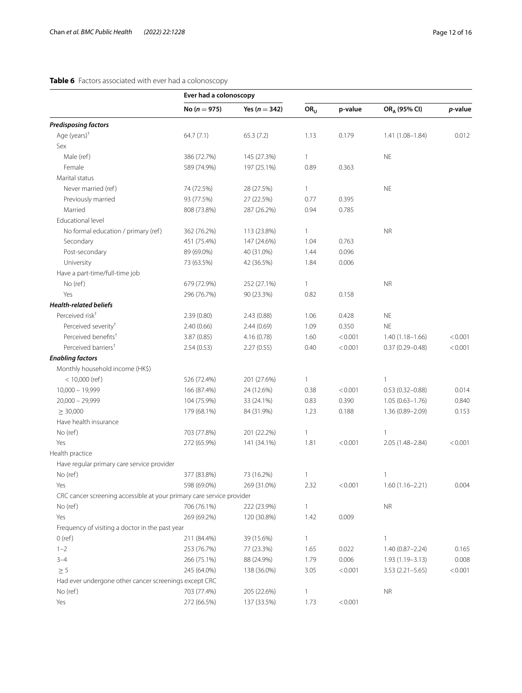# <span id="page-11-0"></span>**Table 6** Factors associated with ever had a colonoscopy

|                                                                       | Ever had a colonoscopy |                   |                 |         |                          |         |
|-----------------------------------------------------------------------|------------------------|-------------------|-----------------|---------|--------------------------|---------|
|                                                                       | No ( $n = 975$ )       | Yes ( $n = 342$ ) | OR <sub>U</sub> | p-value | OR <sub>A</sub> (95% CI) | p-value |
| <b>Predisposing factors</b>                                           |                        |                   |                 |         |                          |         |
| Age (years) $†$                                                       | 64.7(7.1)              | 65.3(7.2)         | 1.13            | 0.179   | $1.41(1.08 - 1.84)$      | 0.012   |
| Sex                                                                   |                        |                   |                 |         |                          |         |
| Male (ref)                                                            | 386 (72.7%)            | 145 (27.3%)       | $\mathbf{1}$    |         | <b>NE</b>                |         |
| Female                                                                | 589 (74.9%)            | 197 (25.1%)       | 0.89            | 0.363   |                          |         |
| Marital status                                                        |                        |                   |                 |         |                          |         |
| Never married (ref)                                                   | 74 (72.5%)             | 28 (27.5%)        | 1               |         | <b>NE</b>                |         |
| Previously married                                                    | 93 (77.5%)             | 27 (22.5%)        | 0.77            | 0.395   |                          |         |
| Married                                                               | 808 (73.8%)            | 287 (26.2%)       | 0.94            | 0.785   |                          |         |
| Educational level                                                     |                        |                   |                 |         |                          |         |
| No formal education / primary (ref)                                   | 362 (76.2%)            | 113 (23.8%)       | 1               |         | <b>NR</b>                |         |
| Secondary                                                             | 451 (75.4%)            | 147 (24.6%)       | 1.04            | 0.763   |                          |         |
| Post-secondary                                                        | 89 (69.0%)             | 40 (31.0%)        | 1.44            | 0.096   |                          |         |
| University                                                            | 73 (63.5%)             | 42 (36.5%)        | 1.84            | 0.006   |                          |         |
| Have a part-time/full-time job                                        |                        |                   |                 |         |                          |         |
| No (ref)                                                              | 679 (72.9%)            | 252 (27.1%)       | $\mathbf{1}$    |         | <b>NR</b>                |         |
| Yes                                                                   | 296 (76.7%)            | 90 (23.3%)        | 0.82            | 0.158   |                          |         |
| <b>Health-related beliefs</b>                                         |                        |                   |                 |         |                          |         |
| Perceived risk <sup>+</sup>                                           | 2.39(0.80)             | 2.43(0.88)        | 1.06            | 0.428   | <b>NE</b>                |         |
| Perceived severity <sup>+</sup>                                       | 2.40(0.66)             | 2.44(0.69)        | 1.09            | 0.350   | <b>NE</b>                |         |
| Perceived benefits <sup>†</sup>                                       | 3.87(0.85)             | 4.16(0.78)        | 1.60            | < 0.001 | $1.40(1.18 - 1.66)$      | < 0.001 |
| Perceived barriers <sup>†</sup>                                       | 2.54(0.53)             | 2.27(0.55)        | 0.40            | < 0.001 | $0.37(0.29 - 0.48)$      | < 0.001 |
| <b>Enabling factors</b>                                               |                        |                   |                 |         |                          |         |
| Monthly household income (HK\$)                                       |                        |                   |                 |         |                          |         |
| $< 10,000$ (ref)                                                      | 526 (72.4%)            | 201 (27.6%)       | $\mathbf{1}$    |         | 1                        |         |
| $10,000 - 19,999$                                                     | 166 (87.4%)            | 24 (12.6%)        | 0.38            | < 0.001 | $0.53(0.32 - 0.88)$      | 0.014   |
| $20,000 - 29,999$                                                     | 104 (75.9%)            | 33 (24.1%)        | 0.83            | 0.390   | $1.05(0.63 - 1.76)$      | 0.840   |
| $\geq$ 30,000                                                         | 179 (68.1%)            | 84 (31.9%)        | 1.23            | 0.188   | 1.36 (0.89-2.09)         | 0.153   |
| Have health insurance                                                 |                        |                   |                 |         |                          |         |
| No (ref)                                                              | 703 (77.8%)            | 201 (22.2%)       | 1               |         | 1                        |         |
| Yes                                                                   | 272 (65.9%)            | 141 (34.1%)       | 1.81            | < 0.001 | 2.05 (1.48-2.84)         | < 0.001 |
| Health practice                                                       |                        |                   |                 |         |                          |         |
| Have regular primary care service provider                            |                        |                   |                 |         |                          |         |
| No (ref)                                                              | 377 (83.8%)            | 73 (16.2%)        | 1               |         | 1                        |         |
| Yes                                                                   | 598 (69.0%)            | 269 (31.0%)       | 2.32            | < 0.001 | 1.60 (1.16-2.21)         | 0.004   |
| CRC cancer screening accessible at your primary care service provider |                        |                   |                 |         |                          |         |
| No (ref)                                                              | 706 (76.1%)            | 222 (23.9%)       | $\mathbf{1}$    |         | <b>NR</b>                |         |
| Yes                                                                   | 269 (69.2%)            | 120 (30.8%)       | 1.42            | 0.009   |                          |         |
| Frequency of visiting a doctor in the past year                       |                        |                   |                 |         |                          |         |
| 0(ref)                                                                | 211 (84.4%)            | 39 (15.6%)        | $\mathbf{1}$    |         | $\mathbf{1}$             |         |
| $1 - 2$                                                               | 253 (76.7%)            | 77 (23.3%)        | 1.65            | 0.022   | $1.40(0.87 - 2.24)$      | 0.165   |
| $3 - 4$                                                               | 266 (75.1%)            | 88 (24.9%)        | 1.79            | 0.006   | $1.93(1.19 - 3.13)$      | 0.008   |
| $\geq$ 5                                                              | 245 (64.0%)            | 138 (36.0%)       | 3.05            | < 0.001 | $3.53(2.21 - 5.65)$      | < 0.001 |
| Had ever undergone other cancer screenings except CRC                 |                        |                   |                 |         |                          |         |

No (ref) 205 (22.6%) 205 (22.6%) 1 NR

Yes 272 (66.5%) 137 (33.5%) 1.73 <0.001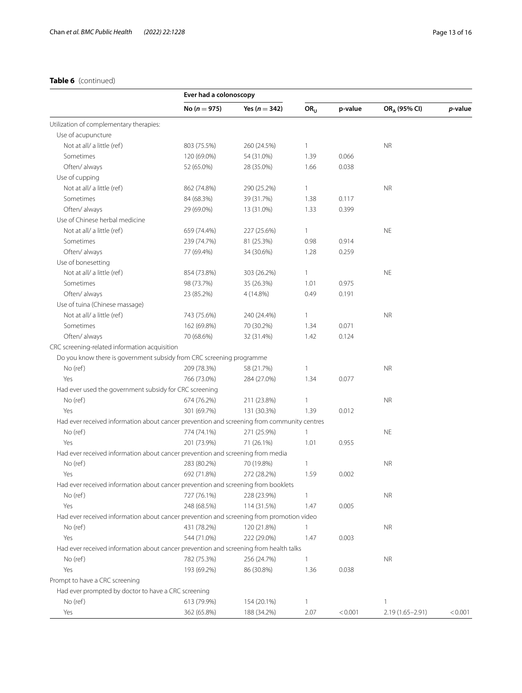# **Table 6** (continued)

|                                                                                            |                  | Ever had a colonoscopy |                 |         |                          |         |
|--------------------------------------------------------------------------------------------|------------------|------------------------|-----------------|---------|--------------------------|---------|
|                                                                                            | No ( $n = 975$ ) | Yes ( $n = 342$ )      | OR <sub>U</sub> | p-value | OR <sub>A</sub> (95% CI) | p-value |
| Utilization of complementary therapies:                                                    |                  |                        |                 |         |                          |         |
| Use of acupuncture                                                                         |                  |                        |                 |         |                          |         |
| Not at all/ a little (ref)                                                                 | 803 (75.5%)      | 260 (24.5%)            | $\mathbf{1}$    |         | <b>NR</b>                |         |
| Sometimes                                                                                  | 120 (69.0%)      | 54 (31.0%)             | 1.39            | 0.066   |                          |         |
| Often/always                                                                               | 52 (65.0%)       | 28 (35.0%)             | 1.66            | 0.038   |                          |         |
| Use of cupping                                                                             |                  |                        |                 |         |                          |         |
| Not at all/ a little (ref)                                                                 | 862 (74.8%)      | 290 (25.2%)            | 1               |         | <b>NR</b>                |         |
| Sometimes                                                                                  | 84 (68.3%)       | 39 (31.7%)             | 1.38            | 0.117   |                          |         |
| Often/ always                                                                              | 29 (69.0%)       | 13 (31.0%)             | 1.33            | 0.399   |                          |         |
| Use of Chinese herbal medicine                                                             |                  |                        |                 |         |                          |         |
| Not at all/ a little (ref)                                                                 | 659 (74.4%)      | 227 (25.6%)            | 1               |         | <b>NE</b>                |         |
| Sometimes                                                                                  | 239 (74.7%)      | 81 (25.3%)             | 0.98            | 0.914   |                          |         |
| Often/ always                                                                              | 77 (69.4%)       | 34 (30.6%)             | 1.28            | 0.259   |                          |         |
| Use of bonesetting                                                                         |                  |                        |                 |         |                          |         |
| Not at all/ a little (ref)                                                                 | 854 (73.8%)      | 303 (26.2%)            | 1               |         | <b>NE</b>                |         |
| Sometimes                                                                                  | 98 (73.7%)       | 35 (26.3%)             | 1.01            | 0.975   |                          |         |
| Often/ always                                                                              | 23 (85.2%)       | 4 (14.8%)              | 0.49            | 0.191   |                          |         |
| Use of tuina (Chinese massage)                                                             |                  |                        |                 |         |                          |         |
| Not at all/ a little (ref)                                                                 | 743 (75.6%)      | 240 (24.4%)            | $\mathbf{1}$    |         | <b>NR</b>                |         |
| Sometimes                                                                                  | 162 (69.8%)      | 70 (30.2%)             | 1.34            | 0.071   |                          |         |
| Often/always                                                                               | 70 (68.6%)       | 32 (31.4%)             | 1.42            | 0.124   |                          |         |
| CRC screening-related information acquisition                                              |                  |                        |                 |         |                          |         |
| Do you know there is government subsidy from CRC screening programme                       |                  |                        |                 |         |                          |         |
| No (ref)                                                                                   | 209 (78.3%)      | 58 (21.7%)             | $\mathbf{1}$    |         | <b>NR</b>                |         |
| Yes                                                                                        | 766 (73.0%)      | 284 (27.0%)            | 1.34            | 0.077   |                          |         |
| Had ever used the government subsidy for CRC screening                                     |                  |                        |                 |         |                          |         |
| No (ref)                                                                                   | 674 (76.2%)      | 211 (23.8%)            | $\mathbf{1}$    |         | <b>NR</b>                |         |
| Yes                                                                                        | 301 (69.7%)      | 131 (30.3%)            | 1.39            | 0.012   |                          |         |
| Had ever received information about cancer prevention and screening from community centres |                  |                        |                 |         |                          |         |
| No (ref)                                                                                   | 774 (74.1%)      | 271 (25.9%)            | $\mathbf{1}$    |         | <b>NE</b>                |         |
| Yes                                                                                        | 201 (73.9%)      | 71 (26.1%)             | 1.01            | 0.955   |                          |         |
| Had ever received information about cancer prevention and screening from media             |                  |                        |                 |         |                          |         |
| No (ref)                                                                                   | 283 (80.2%)      | 70 (19.8%)             | $\mathbf{1}$    |         | <b>NR</b>                |         |
| Yes                                                                                        | 692 (71.8%)      | 272 (28.2%)            | 1.59            | 0.002   |                          |         |
| Had ever received information about cancer prevention and screening from booklets          |                  |                        |                 |         |                          |         |
| No (ref)                                                                                   | 727 (76.1%)      | 228 (23.9%)            | $\mathbf{1}$    |         | <b>NR</b>                |         |
| Yes                                                                                        | 248 (68.5%)      | 114 (31.5%)            | 1.47            | 0.005   |                          |         |
| Had ever received information about cancer prevention and screening from promotion video   |                  |                        |                 |         |                          |         |
| No (ref)                                                                                   | 431 (78.2%)      | 120 (21.8%)            | 1               |         | <b>NR</b>                |         |
| Yes                                                                                        | 544 (71.0%)      | 222 (29.0%)            | 1.47            | 0.003   |                          |         |
| Had ever received information about cancer prevention and screening from health talks      |                  |                        |                 |         |                          |         |
| No (ref)                                                                                   | 782 (75.3%)      | 256 (24.7%)            | $\mathbf{1}$    |         | <b>NR</b>                |         |
| Yes                                                                                        | 193 (69.2%)      | 86 (30.8%)             | 1.36            | 0.038   |                          |         |
| Prompt to have a CRC screening                                                             |                  |                        |                 |         |                          |         |
| Had ever prompted by doctor to have a CRC screening                                        |                  |                        |                 |         |                          |         |
| No (ref)                                                                                   | 613 (79.9%)      | 154 (20.1%)            | $\mathbf{1}$    |         | 1                        |         |
| Yes                                                                                        | 362 (65.8%)      | 188 (34.2%)            | 2.07            | < 0.001 | $2.19(1.65 - 2.91)$      | < 0.001 |
|                                                                                            |                  |                        |                 |         |                          |         |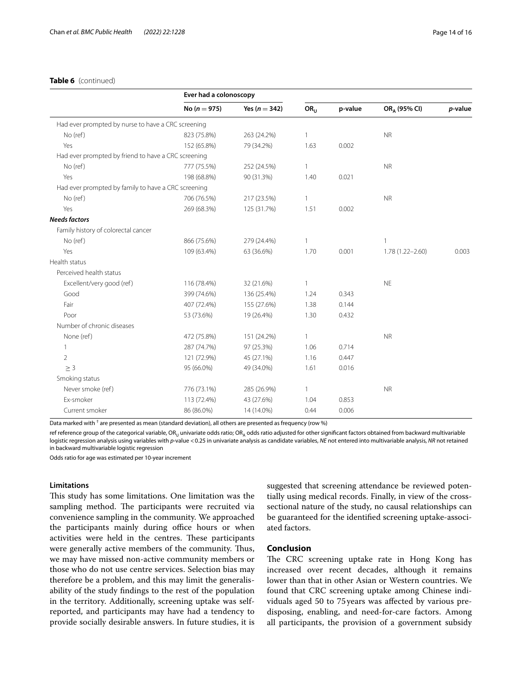# **Table 6** (continued)

|                                                     | Ever had a colonoscopy |                   |                 |         |                          |         |
|-----------------------------------------------------|------------------------|-------------------|-----------------|---------|--------------------------|---------|
|                                                     | No ( $n = 975$ )       | Yes ( $n = 342$ ) | OR <sub>U</sub> | p-value | OR <sub>A</sub> (95% CI) | p-value |
| Had ever prompted by nurse to have a CRC screening  |                        |                   |                 |         |                          |         |
| No (ref)                                            | 823 (75.8%)            | 263 (24.2%)       | $\mathbf{1}$    |         | <b>NR</b>                |         |
| Yes                                                 | 152 (65.8%)            | 79 (34.2%)        | 1.63            | 0.002   |                          |         |
| Had ever prompted by friend to have a CRC screening |                        |                   |                 |         |                          |         |
| No (ref)                                            | 777 (75.5%)            | 252 (24.5%)       | $\mathbf{1}$    |         | <b>NR</b>                |         |
| Yes                                                 | 198 (68.8%)            | 90 (31.3%)        | 1.40            | 0.021   |                          |         |
| Had ever prompted by family to have a CRC screening |                        |                   |                 |         |                          |         |
| No (ref)                                            | 706 (76.5%)            | 217 (23.5%)       | $\mathbf{1}$    |         | <b>NR</b>                |         |
| Yes                                                 | 269 (68.3%)            | 125 (31.7%)       | 1.51            | 0.002   |                          |         |
| <b>Needs factors</b>                                |                        |                   |                 |         |                          |         |
| Family history of colorectal cancer                 |                        |                   |                 |         |                          |         |
| No (ref)                                            | 866 (75.6%)            | 279 (24.4%)       | $\mathbf{1}$    |         | $\mathbf{1}$             |         |
| Yes                                                 | 109 (63.4%)            | 63 (36.6%)        | 1.70            | 0.001   | $1.78(1.22 - 2.60)$      | 0.003   |
| Health status                                       |                        |                   |                 |         |                          |         |
| Perceived health status                             |                        |                   |                 |         |                          |         |
| Excellent/very good (ref)                           | 116 (78.4%)            | 32 (21.6%)        | $\mathbf{1}$    |         | <b>NE</b>                |         |
| Good                                                | 399 (74.6%)            | 136 (25.4%)       | 1.24            | 0.343   |                          |         |
| Fair                                                | 407 (72.4%)            | 155 (27.6%)       | 1.38            | 0.144   |                          |         |
| Poor                                                | 53 (73.6%)             | 19 (26.4%)        | 1.30            | 0.432   |                          |         |
| Number of chronic diseases                          |                        |                   |                 |         |                          |         |
| None (ref)                                          | 472 (75.8%)            | 151 (24.2%)       | $\mathbf{1}$    |         | <b>NR</b>                |         |
| 1                                                   | 287 (74.7%)            | 97 (25.3%)        | 1.06            | 0.714   |                          |         |
| $\overline{2}$                                      | 121 (72.9%)            | 45 (27.1%)        | 1.16            | 0.447   |                          |         |
| $\geq$ 3                                            | 95 (66.0%)             | 49 (34.0%)        | 1.61            | 0.016   |                          |         |
| Smoking status                                      |                        |                   |                 |         |                          |         |
| Never smoke (ref)                                   | 776 (73.1%)            | 285 (26.9%)       | $\mathbf{1}$    |         | <b>NR</b>                |         |
| Ex-smoker                                           | 113 (72.4%)            | 43 (27.6%)        | 1.04            | 0.853   |                          |         |
| Current smoker                                      | 86 (86.0%)             | 14 (14.0%)        | 0.44            | 0.006   |                          |         |

Data marked with  $^\dagger$  are presented as mean (standard deviation), all others are presented as frequency (row %)

ref reference group of the categorical variable, OR<sub>U</sub> univariate odds ratio; OR<sub>A</sub> odds ratio adjusted for other significant factors obtained from backward multivariable logistic regression analysis using variables with *p*-value <0.25 in univariate analysis as candidate variables, *NE* not entered into multivariable analysis, *NR* not retained in backward multivariable logistic regression

Odds ratio for age was estimated per 10-year increment

# **Limitations**

This study has some limitations. One limitation was the sampling method. The participants were recruited via convenience sampling in the community. We approached the participants mainly during office hours or when activities were held in the centres. These participants were generally active members of the community. Thus, we may have missed non-active community members or those who do not use centre services. Selection bias may therefore be a problem, and this may limit the generalisability of the study fndings to the rest of the population in the territory. Additionally, screening uptake was selfreported, and participants may have had a tendency to provide socially desirable answers. In future studies, it is suggested that screening attendance be reviewed potentially using medical records. Finally, in view of the crosssectional nature of the study, no causal relationships can be guaranteed for the identifed screening uptake-associated factors.

# **Conclusion**

The CRC screening uptake rate in Hong Kong has increased over recent decades, although it remains lower than that in other Asian or Western countries. We found that CRC screening uptake among Chinese individuals aged 50 to 75 years was afected by various predisposing, enabling, and need-for-care factors. Among all participants, the provision of a government subsidy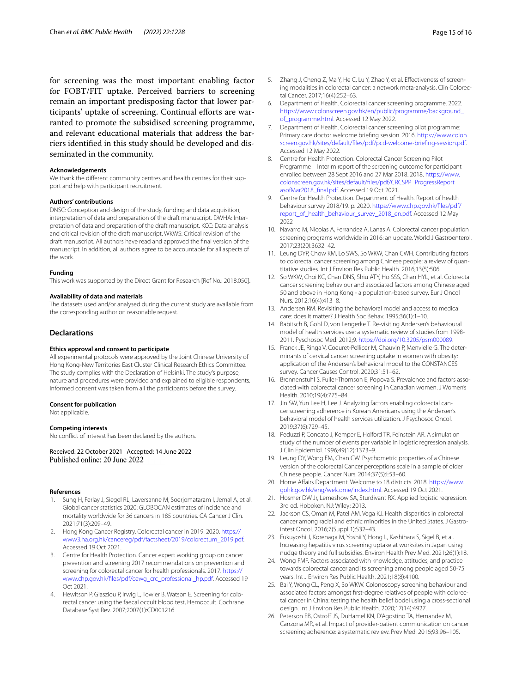for screening was the most important enabling factor for FOBT/FIT uptake. Perceived barriers to screening remain an important predisposing factor that lower participants' uptake of screening. Continual efforts are warranted to promote the subsidised screening programme, and relevant educational materials that address the barriers identifed in this study should be developed and disseminated in the community.

#### **Acknowledgements**

We thank the different community centres and health centres for their support and help with participant recruitment.

#### **Authors' contributions**

DNSC: Conception and design of the study, funding and data acquisition, interpretation of data and preparation of the draft manuscript. DWHA: Interpretation of data and preparation of the draft manuscript. KCC: Data analysis and critical revision of the draft manuscript. WKWS: Critical revision of the draft manuscript. All authors have read and approved the fnal version of the manuscript. In addition, all authors agree to be accountable for all aspects of the work.

#### **Funding**

This work was supported by the Direct Grant for Research [Ref No.: 2018.050].

#### **Availability of data and materials**

The datasets used and/or analysed during the current study are available from the corresponding author on reasonable request.

#### **Declarations**

#### **Ethics approval and consent to participate**

All experimental protocols were approved by the Joint Chinese University of Hong Kong-New Territories East Cluster Clinical Research Ethics Committee. The study complies with the Declaration of Helsinki. The study's purpose, nature and procedures were provided and explained to eligible respondents. Informed consent was taken from all the participants before the survey.

#### **Consent for publication**

Not applicable.

#### **Competing interests**

No confict of interest has been declared by the authors.

Received: 22 October 2021 Accepted: 14 June 2022

#### **References**

- <span id="page-14-0"></span>1. Sung H, Ferlay J, Siegel RL, Laversanne M, Soerjomataram I, Jemal A, et al. Global cancer statistics 2020: GLOBOCAN estimates of incidence and mortality worldwide for 36 cancers in 185 countries. CA Cancer J Clin. 2021;71(3):209–49.
- <span id="page-14-1"></span>2. Hong Kong Cancer Registry. Colorectal cancer in 2019. 2020. [https://](https://www3.ha.org.hk/cancereg/pdf/factsheet/2019/colorectum_2019.pdf) [www3.ha.org.hk/cancereg/pdf/factsheet/2019/colorectum\\_2019.pdf.](https://www3.ha.org.hk/cancereg/pdf/factsheet/2019/colorectum_2019.pdf) Accessed 19 Oct 2021.
- <span id="page-14-2"></span>3. Centre for Health Protection. Cancer expert working group on cancer prevention and screening 2017 recommendations on prevention and screening for colorectal cancer for health professionals. 2017. [https://](https://www.chp.gov.hk/files/pdf/cewg_crc_professional_hp.pdf) [www.chp.gov.hk/fles/pdf/cewg\\_crc\\_professional\\_hp.pdf.](https://www.chp.gov.hk/files/pdf/cewg_crc_professional_hp.pdf) Accessed 19 Oct 2021.
- <span id="page-14-3"></span>4. Hewitson P, Glasziou P, Irwig L, Towler B, Watson E. Screening for colorectal cancer using the faecal occult blood test, Hemoccult. Cochrane Database Syst Rev. 2007;2007(1):CD001216.
- <span id="page-14-4"></span>5. Zhang J, Cheng Z, Ma Y, He C, Lu Y, Zhao Y, et al. Efectiveness of screening modalities in colorectal cancer: a network meta-analysis. Clin Colorectal Cancer. 2017;16(4):252–63.
- <span id="page-14-5"></span>6. Department of Health. Colorectal cancer screening programme. 2022. [https://www.colonscreen.gov.hk/en/public/programme/background\\_](https://www.colonscreen.gov.hk/en/public/programme/background_of_programme.html) [of\\_programme.html](https://www.colonscreen.gov.hk/en/public/programme/background_of_programme.html). Accessed 12 May 2022.
- <span id="page-14-6"></span>7. Department of Health. Colorectal cancer screening pilot programme: Primary care doctor welcome briefng session. 2016. [https://www.colon](https://www.colonscreen.gov.hk/sites/default/files/pdf/pcd-welcome-briefing-session.pdf) [screen.gov.hk/sites/default/fles/pdf/pcd-welcome-briefing-session.pdf.](https://www.colonscreen.gov.hk/sites/default/files/pdf/pcd-welcome-briefing-session.pdf) Accessed 12 May 2022.
- <span id="page-14-7"></span>8. Centre for Health Protection. Colorectal Cancer Screening Pilot Programme – Interim report of the screening outcome for participant enrolled between 28 Sept 2016 and 27 Mar 2018. 2018. [https://www.](https://www.colonscreen.gov.hk/sites/default/files/pdf/CRCSPP_ProgressReport_asofMar2018_final.pdf) [colonscreen.gov.hk/sites/default/fles/pdf/CRCSPP\\_ProgressReport\\_](https://www.colonscreen.gov.hk/sites/default/files/pdf/CRCSPP_ProgressReport_asofMar2018_final.pdf) [asofMar2018\\_fnal.pdf.](https://www.colonscreen.gov.hk/sites/default/files/pdf/CRCSPP_ProgressReport_asofMar2018_final.pdf) Accessed 19 Oct 2021.
- <span id="page-14-8"></span>9. Centre for Health Protection. Department of Health. Report of health behaviour survey 2018/19. p. 2020. [https://www.chp.gov.hk/fles/pdf/](https://www.chp.gov.hk/files/pdf/report_of_health_behaviour_survey_2018_en.pdf) [report\\_of\\_health\\_behaviour\\_survey\\_2018\\_en.pdf](https://www.chp.gov.hk/files/pdf/report_of_health_behaviour_survey_2018_en.pdf). Accessed 12 May 2022
- <span id="page-14-9"></span>10. Navarro M, Nicolas A, Ferrandez A, Lanas A. Colorectal cancer population screening programs worldwide in 2016: an update. World J Gastroenterol. 2017;23(20):3632–42.
- <span id="page-14-10"></span>11. Leung DYP, Chow KM, Lo SWS, So WKW, Chan CWH. Contributing factors to colorectal cancer screening among Chinese people: a review of quantitative studies. Int J Environ Res Public Health. 2016;13(5):506.
- <span id="page-14-11"></span>12. So WKW, Choi KC, Chan DNS, Shiu ATY, Ho SSS, Chan HYL, et al. Colorectal cancer screening behaviour and associated factors among Chinese aged 50 and above in Hong Kong - a population-based survey. Eur J Oncol Nurs. 2012;16(4):413–8.
- <span id="page-14-12"></span>13. Andersen RM. Revisiting the behavioral model and access to medical care: does it matter? J Health Soc Behav. 1995;36(1):1–10.
- <span id="page-14-13"></span>14. Babitsch B, Gohl D, von Lengerke T. Re-visiting Andersen's behavioural model of health services use: a systematic review of studies from 1998- 2011. Pyschosoc Med. 2012;9.<https://doi.org/10.3205/psm000089>.
- 15. Franck JE, Ringa V, Coeuret-Pellicer M, Chauvin P, Menvielle G. The determinants of cervical cancer screening uptake in women with obesity: application of the Andersen's behavioral model to the CONSTANCES survey. Cancer Causes Control. 2020;31:51–62.
- 16. Brennenstuhl S, Fuller-Thomson E, Popova S. Prevalence and factors associated with colorectal cancer screening in Canadian women. J Women's Health. 2010;19(4):775–84.
- <span id="page-14-14"></span>17. Jin SW, Yun Lee H, Lee J. Analyzing factors enabling colorectal cancer screening adherence in Korean Americans using the Andersen's behavioral model of health services utilization. J Psychosoc Oncol. 2019;37(6):729–45.
- <span id="page-14-15"></span>18. Peduzzi P, Concato J, Kemper E, Holford TR, Feinstein AR. A simulation study of the number of events per variable in logistic regression analysis. J Clin Epidemiol. 1996;49(12):1373–9.
- <span id="page-14-16"></span>19. Leung DY, Wong EM, Chan CW. Psychometric properties of a Chinese version of the colorectal Cancer perceptions scale in a sample of older Chinese people. Cancer Nurs. 2014;37(5):E53–60.
- <span id="page-14-17"></span>20. Home Affairs Department. Welcome to 18 districts. 2018. [https://www.](https://www.gohk.gov.hk/eng/welcome/index.html) [gohk.gov.hk/eng/welcome/index.html](https://www.gohk.gov.hk/eng/welcome/index.html). Accessed 19 Oct 2021.
- <span id="page-14-18"></span>21. Hosmer DW Jr, Lemeshow SA, Sturdivant RX. Applied logistic regression. 3rd ed. Hoboken, NJ: Wiley; 2013.
- <span id="page-14-19"></span>22. Jackson CS, Oman M, Patel AM, Vega KJ. Health disparities in colorectal cancer among racial and ethnic minorities in the United States. J Gastrointest Oncol. 2016;7(Suppl 1):S32–43.
- <span id="page-14-20"></span>23. Fukuyoshi J, Korenaga M, Yoshii Y, Hong L, Kashihara S, Sigel B, et al. Increasing hepatitis virus screening uptake at worksites in Japan using nudge theory and full subsidies. Environ Health Prev Med. 2021;26(1):18.
- <span id="page-14-21"></span>24. Wong FMF. Factors associated with knowledge, attitudes, and practice towards colorectal cancer and its screening among people aged 50-75 years. Int J Environ Res Public Health. 2021;18(8):4100.
- <span id="page-14-22"></span>25. Bai Y, Wong CL, Peng X, So WKW. Colonoscopy screening behaviour and associated factors amongst frst-degree relatives of people with colorectal cancer in China: testing the health belief bodel using a cross-sectional design. Int J Environ Res Public Health. 2020;17(14):4927.
- <span id="page-14-23"></span>26. Peterson EB, Ostroff JS, DuHamel KN, D'Agostino TA, Hernandez M, Canzona MR, et al. Impact of provider-patient communication on cancer screening adherence: a systematic review. Prev Med. 2016;93:96–105.